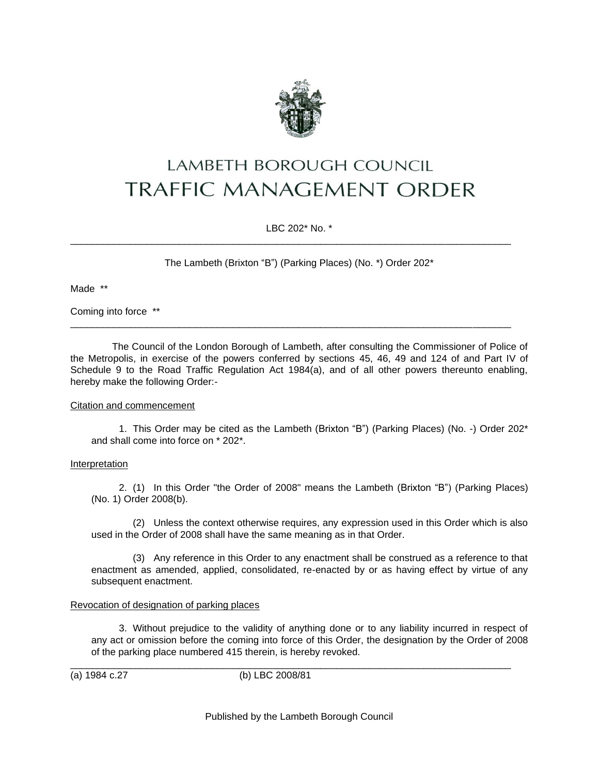

# **LAMBETH BOROUGH COUNCIL TRAFFIC MANAGEMENT ORDER**

LBC 202\* No. \*

\_\_\_\_\_\_\_\_\_\_\_\_\_\_\_\_\_\_\_\_\_\_\_\_\_\_\_\_\_\_\_\_\_\_\_\_\_\_\_\_\_\_\_\_\_\_\_\_\_\_\_\_\_\_\_\_\_\_\_\_\_\_\_\_\_\_\_\_\_\_\_\_\_\_\_\_\_\_\_\_\_

\_\_\_\_\_\_\_\_\_\_\_\_\_\_\_\_\_\_\_\_\_\_\_\_\_\_\_\_\_\_\_\_\_\_\_\_\_\_\_\_\_\_\_\_\_\_\_\_\_\_\_\_\_\_\_\_\_\_\_\_\_\_\_\_\_\_\_\_\_\_\_\_\_\_\_\_\_\_\_\_\_

The Lambeth (Brixton "B") (Parking Places) (No. \*) Order 202\*

Made \*\*

Coming into force \*\*

The Council of the London Borough of Lambeth, after consulting the Commissioner of Police of the Metropolis, in exercise of the powers conferred by sections 45, 46, 49 and 124 of and Part IV of Schedule 9 to the Road Traffic Regulation Act 1984(a), and of all other powers thereunto enabling, hereby make the following Order:-

## Citation and commencement

1. This Order may be cited as the Lambeth (Brixton "B") (Parking Places) (No. -) Order 202\* and shall come into force on \* 202\*.

## Interpretation

2. (1) In this Order "the Order of 2008" means the Lambeth (Brixton "B") (Parking Places) (No. 1) Order 2008(b).

(2) Unless the context otherwise requires, any expression used in this Order which is also used in the Order of 2008 shall have the same meaning as in that Order.

(3) Any reference in this Order to any enactment shall be construed as a reference to that enactment as amended, applied, consolidated, re-enacted by or as having effect by virtue of any subsequent enactment.

## Revocation of designation of parking places

3. Without prejudice to the validity of anything done or to any liability incurred in respect of any act or omission before the coming into force of this Order, the designation by the Order of 2008 of the parking place numbered 415 therein, is hereby revoked.

(a) 1984 c.27 (b) LBC 2008/81

\_\_\_\_\_\_\_\_\_\_\_\_\_\_\_\_\_\_\_\_\_\_\_\_\_\_\_\_\_\_\_\_\_\_\_\_\_\_\_\_\_\_\_\_\_\_\_\_\_\_\_\_\_\_\_\_\_\_\_\_\_\_\_\_\_\_\_\_\_\_\_\_\_\_\_\_\_\_\_\_\_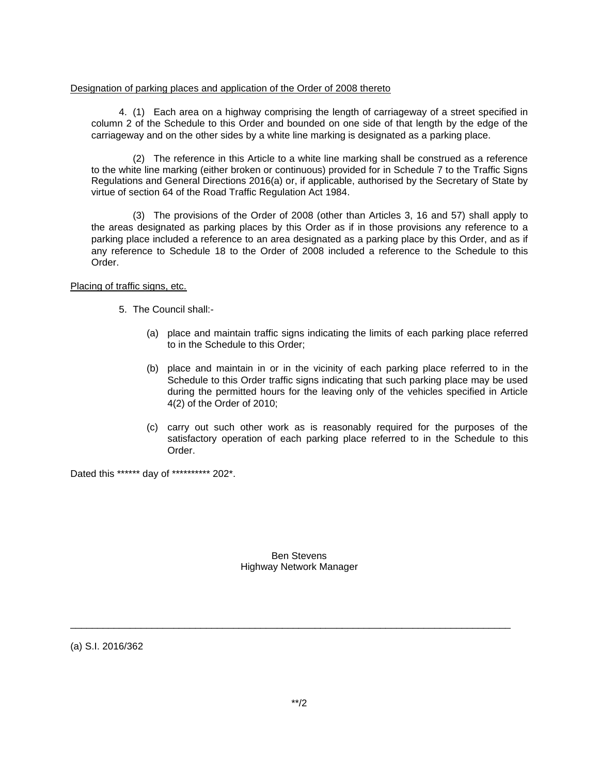#### Designation of parking places and application of the Order of 2008 thereto

4. (1) Each area on a highway comprising the length of carriageway of a street specified in column 2 of the Schedule to this Order and bounded on one side of that length by the edge of the carriageway and on the other sides by a white line marking is designated as a parking place.

(2) The reference in this Article to a white line marking shall be construed as a reference to the white line marking (either broken or continuous) provided for in Schedule 7 to the Traffic Signs Regulations and General Directions 2016(a) or, if applicable, authorised by the Secretary of State by virtue of section 64 of the Road Traffic Regulation Act 1984.

(3) The provisions of the Order of 2008 (other than Articles 3, 16 and 57) shall apply to the areas designated as parking places by this Order as if in those provisions any reference to a parking place included a reference to an area designated as a parking place by this Order, and as if any reference to Schedule 18 to the Order of 2008 included a reference to the Schedule to this Order.

## Placing of traffic signs, etc.

- 5. The Council shall:-
	- (a) place and maintain traffic signs indicating the limits of each parking place referred to in the Schedule to this Order;
	- (b) place and maintain in or in the vicinity of each parking place referred to in the Schedule to this Order traffic signs indicating that such parking place may be used during the permitted hours for the leaving only of the vehicles specified in Article 4(2) of the Order of 2010;
	- (c) carry out such other work as is reasonably required for the purposes of the satisfactory operation of each parking place referred to in the Schedule to this Order.

Dated this \*\*\*\*\*\* day of \*\*\*\*\*\*\*\*\*\* 202\*.

Ben Stevens Highway Network Manager

\_\_\_\_\_\_\_\_\_\_\_\_\_\_\_\_\_\_\_\_\_\_\_\_\_\_\_\_\_\_\_\_\_\_\_\_\_\_\_\_\_\_\_\_\_\_\_\_\_\_\_\_\_\_\_\_\_\_\_\_\_\_\_\_\_\_\_\_\_\_\_\_\_\_\_\_\_\_\_\_\_

(a) S.I. 2016/362